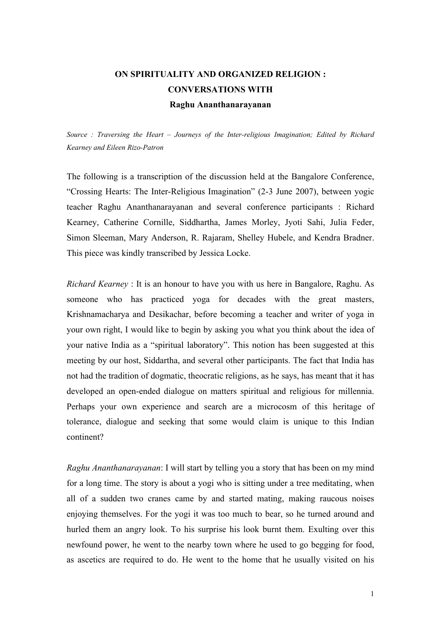## **ON SPIRITUALITY AND ORGANIZED RELIGION : CONVERSATIONS WITH Raghu Ananthanarayanan**

*Source : Traversing the Heart – Journeys of the Inter-religious Imagination; Edited by Richard Kearney and Eileen Rizo-Patron*

The following is a transcription of the discussion held at the Bangalore Conference, "Crossing Hearts: The Inter-Religious Imagination" (2-3 June 2007), between yogic teacher Raghu Ananthanarayanan and several conference participants : Richard Kearney, Catherine Cornille, Siddhartha, James Morley, Jyoti Sahi, Julia Feder, Simon Sleeman, Mary Anderson, R. Rajaram, Shelley Hubele, and Kendra Bradner. This piece was kindly transcribed by Jessica Locke.

*Richard Kearney* : It is an honour to have you with us here in Bangalore, Raghu. As someone who has practiced yoga for decades with the great masters, Krishnamacharya and Desikachar, before becoming a teacher and writer of yoga in your own right, I would like to begin by asking you what you think about the idea of your native India as a "spiritual laboratory". This notion has been suggested at this meeting by our host, Siddartha, and several other participants. The fact that India has not had the tradition of dogmatic, theocratic religions, as he says, has meant that it has developed an open-ended dialogue on matters spiritual and religious for millennia. Perhaps your own experience and search are a microcosm of this heritage of tolerance, dialogue and seeking that some would claim is unique to this Indian continent?

*Raghu Ananthanarayanan*: I will start by telling you a story that has been on my mind for a long time. The story is about a yogi who is sitting under a tree meditating, when all of a sudden two cranes came by and started mating, making raucous noises enjoying themselves. For the yogi it was too much to bear, so he turned around and hurled them an angry look. To his surprise his look burnt them. Exulting over this newfound power, he went to the nearby town where he used to go begging for food, as ascetics are required to do. He went to the home that he usually visited on his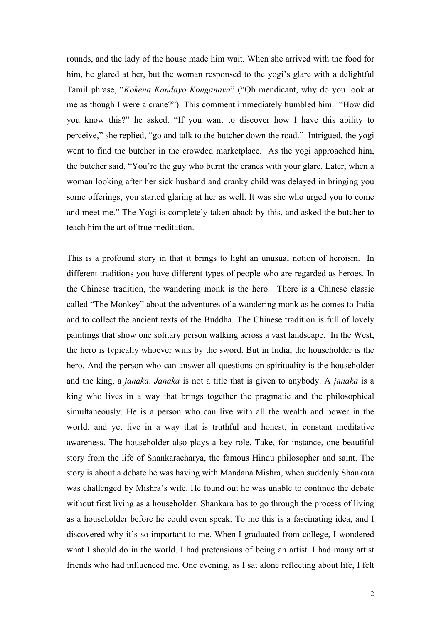rounds, and the lady of the house made him wait. When she arrived with the food for him, he glared at her, but the woman responsed to the yogi's glare with a delightful Tamil phrase, "*Kokena Kandayo Konganava*" ("Oh mendicant, why do you look at me as though I were a crane?"). This comment immediately humbled him. "How did you know this?" he asked. "If you want to discover how I have this ability to perceive," she replied, "go and talk to the butcher down the road." Intrigued, the yogi went to find the butcher in the crowded marketplace. As the yogi approached him, the butcher said, "You're the guy who burnt the cranes with your glare. Later, when a woman looking after her sick husband and cranky child was delayed in bringing you some offerings, you started glaring at her as well. It was she who urged you to come and meet me." The Yogi is completely taken aback by this, and asked the butcher to teach him the art of true meditation.

This is a profound story in that it brings to light an unusual notion of heroism. In different traditions you have different types of people who are regarded as heroes. In the Chinese tradition, the wandering monk is the hero. There is a Chinese classic called "The Monkey" about the adventures of a wandering monk as he comes to India and to collect the ancient texts of the Buddha. The Chinese tradition is full of lovely paintings that show one solitary person walking across a vast landscape. In the West, the hero is typically whoever wins by the sword. But in India, the householder is the hero. And the person who can answer all questions on spirituality is the householder and the king, a *janaka*. *Janaka* is not a title that is given to anybody. A *janaka* is a king who lives in a way that brings together the pragmatic and the philosophical simultaneously. He is a person who can live with all the wealth and power in the world, and yet live in a way that is truthful and honest, in constant meditative awareness. The householder also plays a key role. Take, for instance, one beautiful story from the life of Shankaracharya, the famous Hindu philosopher and saint. The story is about a debate he was having with Mandana Mishra, when suddenly Shankara was challenged by Mishra's wife. He found out he was unable to continue the debate without first living as a householder. Shankara has to go through the process of living as a householder before he could even speak. To me this is a fascinating idea, and I discovered why it's so important to me. When I graduated from college, I wondered what I should do in the world. I had pretensions of being an artist. I had many artist friends who had influenced me. One evening, as I sat alone reflecting about life, I felt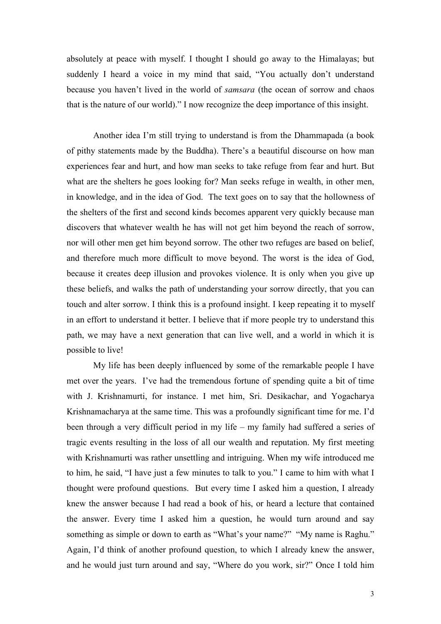absolutely at peace with myself. I thought I should go away to the Himalayas; but suddenly I heard a voice in my mind that said, "You actually don't understand because you haven't lived in the world of *samsara* (the ocean of sorrow and chaos that is the nature of our world)." I now recognize the deep importance of this insight.

Another idea I'm still trying to understand is from the Dhammapada (a book of pithy statements made by the Buddha). There's a beautiful discourse on how man experiences fear and hurt, and how man seeks to take refuge from fear and hurt. But what are the shelters he goes looking for? Man seeks refuge in wealth, in other men, in knowledge, and in the idea of God. The text goes on to say that the hollowness of the shelters of the first and second kinds becomes apparent very quickly because man discovers that whatever wealth he has will not get him beyond the reach of sorrow, nor will other men get him beyond sorrow. The other two refuges are based on belief, and therefore much more difficult to move beyond. The worst is the idea of God, because it creates deep illusion and provokes violence. It is only when you give up these beliefs, and walks the path of understanding your sorrow directly, that you can touch and alter sorrow. I think this is a profound insight. I keep repeating it to myself in an effort to understand it better. I believe that if more people try to understand this path, we may have a next generation that can live well, and a world in which it is possible to live!

My life has been deeply influenced by some of the remarkable people I have met over the years. I've had the tremendous fortune of spending quite a bit of time with J. Krishnamurti, for instance. I met him, Sri. Desikachar, and Yogacharya Krishnamacharya at the same time. This was a profoundly significant time for me. I'd been through a very difficult period in my life – my family had suffered a series of tragic events resulting in the loss of all our wealth and reputation. My first meeting with Krishnamurti was rather unsettling and intriguing. When m**y** wife introduced me to him, he said, "I have just a few minutes to talk to you." I came to him with what I thought were profound questions. But every time I asked him a question, I already knew the answer because I had read a book of his, or heard a lecture that contained the answer. Every time I asked him a question, he would turn around and say something as simple or down to earth as "What's your name?" "My name is Raghu." Again, I'd think of another profound question, to which I already knew the answer, and he would just turn around and say, "Where do you work, sir?" Once I told him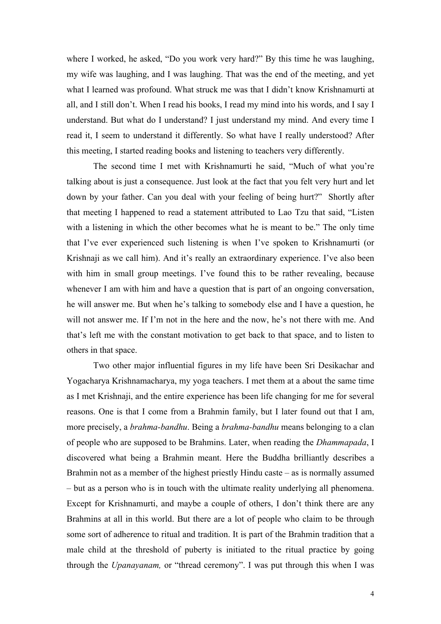where I worked, he asked, "Do you work very hard?" By this time he was laughing, my wife was laughing, and I was laughing. That was the end of the meeting, and yet what I learned was profound. What struck me was that I didn't know Krishnamurti at all, and I still don't. When I read his books, I read my mind into his words, and I say I understand. But what do I understand? I just understand my mind. And every time I read it, I seem to understand it differently. So what have I really understood? After this meeting, I started reading books and listening to teachers very differently.

The second time I met with Krishnamurti he said, "Much of what you're talking about is just a consequence. Just look at the fact that you felt very hurt and let down by your father. Can you deal with your feeling of being hurt?" Shortly after that meeting I happened to read a statement attributed to Lao Tzu that said, "Listen with a listening in which the other becomes what he is meant to be." The only time that I've ever experienced such listening is when I've spoken to Krishnamurti (or Krishnaji as we call him). And it's really an extraordinary experience. I've also been with him in small group meetings. I've found this to be rather revealing, because whenever I am with him and have a question that is part of an ongoing conversation, he will answer me. But when he's talking to somebody else and I have a question, he will not answer me. If I'm not in the here and the now, he's not there with me. And that's left me with the constant motivation to get back to that space, and to listen to others in that space.

Two other major influential figures in my life have been Sri Desikachar and Yogacharya Krishnamacharya, my yoga teachers. I met them at a about the same time as I met Krishnaji, and the entire experience has been life changing for me for several reasons. One is that I come from a Brahmin family, but I later found out that I am, more precisely, a *brahma-bandhu*. Being a *brahma-bandhu* means belonging to a clan of people who are supposed to be Brahmins. Later, when reading the *Dhammapada*, I discovered what being a Brahmin meant. Here the Buddha brilliantly describes a Brahmin not as a member of the highest priestly Hindu caste – as is normally assumed – but as a person who is in touch with the ultimate reality underlying all phenomena. Except for Krishnamurti, and maybe a couple of others, I don't think there are any Brahmins at all in this world. But there are a lot of people who claim to be through some sort of adherence to ritual and tradition. It is part of the Brahmin tradition that a male child at the threshold of puberty is initiated to the ritual practice by going through the *Upanayanam,* or "thread ceremony". I was put through this when I was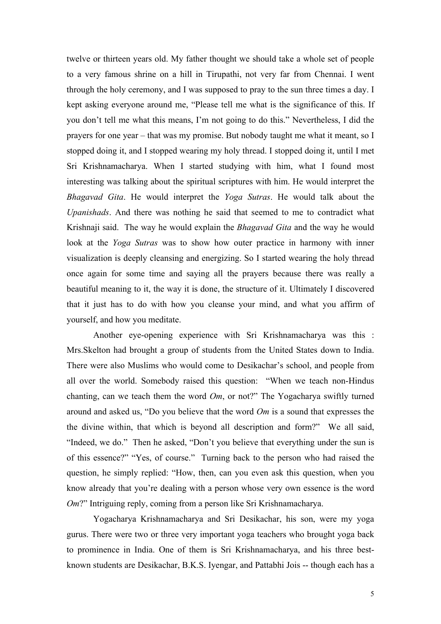twelve or thirteen years old. My father thought we should take a whole set of people to a very famous shrine on a hill in Tirupathi, not very far from Chennai. I went through the holy ceremony, and I was supposed to pray to the sun three times a day. I kept asking everyone around me, "Please tell me what is the significance of this. If you don't tell me what this means, I'm not going to do this." Nevertheless, I did the prayers for one year – that was my promise. But nobody taught me what it meant, so I stopped doing it, and I stopped wearing my holy thread. I stopped doing it, until I met Sri Krishnamacharya. When I started studying with him, what I found most interesting was talking about the spiritual scriptures with him. He would interpret the *Bhagavad Gita*. He would interpret the *Yoga Sutras*. He would talk about the *Upanishads*. And there was nothing he said that seemed to me to contradict what Krishnaji said. The way he would explain the *Bhagavad Gita* and the way he would look at the *Yoga Sutras* was to show how outer practice in harmony with inner visualization is deeply cleansing and energizing. So I started wearing the holy thread once again for some time and saying all the prayers because there was really a beautiful meaning to it, the way it is done, the structure of it. Ultimately I discovered that it just has to do with how you cleanse your mind, and what you affirm of yourself, and how you meditate.

Another eye-opening experience with Sri Krishnamacharya was this : Mrs.Skelton had brought a group of students from the United States down to India. There were also Muslims who would come to Desikachar's school, and people from all over the world. Somebody raised this question: "When we teach non-Hindus chanting, can we teach them the word *Om*, or not?" The Yogacharya swiftly turned around and asked us, "Do you believe that the word *Om* is a sound that expresses the the divine within, that which is beyond all description and form?" We all said, "Indeed, we do." Then he asked, "Don't you believe that everything under the sun is of this essence?" "Yes, of course." Turning back to the person who had raised the question, he simply replied: "How, then, can you even ask this question, when you know already that you're dealing with a person whose very own essence is the word *Om*?" Intriguing reply, coming from a person like Sri Krishnamacharya.

Yogacharya Krishnamacharya and Sri Desikachar, his son, were my yoga gurus. There were two or three very important yoga teachers who brought yoga back to prominence in India. One of them is Sri Krishnamacharya, and his three bestknown students are Desikachar, B.K.S. Iyengar, and Pattabhi Jois -- though each has a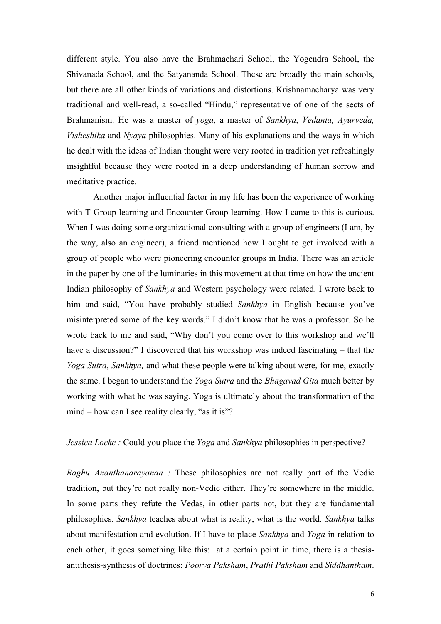different style. You also have the Brahmachari School, the Yogendra School, the Shivanada School, and the Satyananda School. These are broadly the main schools, but there are all other kinds of variations and distortions. Krishnamacharya was very traditional and well-read, a so-called "Hindu," representative of one of the sects of Brahmanism. He was a master of *yoga*, a master of *Sankhya*, *Vedanta, Ayurveda, Visheshika* and *Nyaya* philosophies. Many of his explanations and the ways in which he dealt with the ideas of Indian thought were very rooted in tradition yet refreshingly insightful because they were rooted in a deep understanding of human sorrow and meditative practice.

Another major influential factor in my life has been the experience of working with T-Group learning and Encounter Group learning. How I came to this is curious. When I was doing some organizational consulting with a group of engineers (I am, by the way, also an engineer), a friend mentioned how I ought to get involved with a group of people who were pioneering encounter groups in India. There was an article in the paper by one of the luminaries in this movement at that time on how the ancient Indian philosophy of *Sankhya* and Western psychology were related. I wrote back to him and said, "You have probably studied *Sankhya* in English because you've misinterpreted some of the key words." I didn't know that he was a professor. So he wrote back to me and said, "Why don't you come over to this workshop and we'll have a discussion?" I discovered that his workshop was indeed fascinating – that the *Yoga Sutra*, *Sankhya,* and what these people were talking about were, for me, exactly the same. I began to understand the *Yoga Sutra* and the *Bhagavad Gita* much better by working with what he was saying. Yoga is ultimately about the transformation of the mind – how can I see reality clearly, "as it is"?

*Jessica Locke :* Could you place the *Yoga* and *Sankhya* philosophies in perspective?

*Raghu Ananthanarayanan :* These philosophies are not really part of the Vedic tradition, but they're not really non-Vedic either. They're somewhere in the middle. In some parts they refute the Vedas, in other parts not, but they are fundamental philosophies. *Sankhya* teaches about what is reality, what is the world. *Sankhya* talks about manifestation and evolution. If I have to place *Sankhya* and *Yoga* in relation to each other, it goes something like this: at a certain point in time, there is a thesisantithesis-synthesis of doctrines: *Poorva Paksham*, *Prathi Paksham* and *Siddhantham*.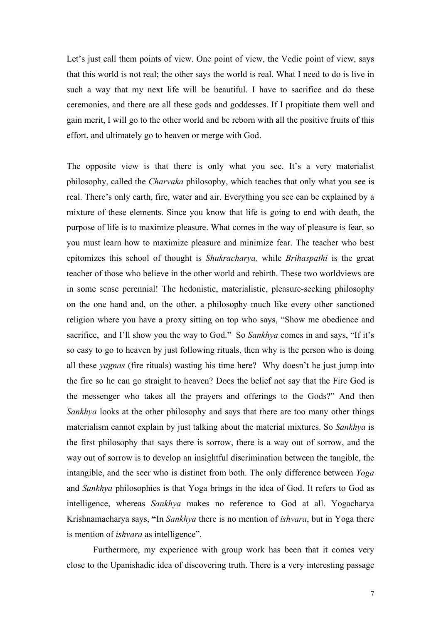Let's just call them points of view. One point of view, the Vedic point of view, says that this world is not real; the other says the world is real. What I need to do is live in such a way that my next life will be beautiful. I have to sacrifice and do these ceremonies, and there are all these gods and goddesses. If I propitiate them well and gain merit, I will go to the other world and be reborn with all the positive fruits of this effort, and ultimately go to heaven or merge with God.

The opposite view is that there is only what you see. It's a very materialist philosophy, called the *Charvaka* philosophy, which teaches that only what you see is real. There's only earth, fire, water and air. Everything you see can be explained by a mixture of these elements. Since you know that life is going to end with death, the purpose of life is to maximize pleasure. What comes in the way of pleasure is fear, so you must learn how to maximize pleasure and minimize fear. The teacher who best epitomizes this school of thought is *Shukracharya,* while *Brihaspathi* is the great teacher of those who believe in the other world and rebirth. These two worldviews are in some sense perennial! The hedonistic, materialistic, pleasure-seeking philosophy on the one hand and, on the other, a philosophy much like every other sanctioned religion where you have a proxy sitting on top who says, "Show me obedience and sacrifice, and I'll show you the way to God." So *Sankhya* comes in and says, "If it's so easy to go to heaven by just following rituals, then why is the person who is doing all these *yagnas* (fire rituals) wasting his time here? Why doesn't he just jump into the fire so he can go straight to heaven? Does the belief not say that the Fire God is the messenger who takes all the prayers and offerings to the Gods?" And then *Sankhya* looks at the other philosophy and says that there are too many other things materialism cannot explain by just talking about the material mixtures. So *Sankhya* is the first philosophy that says there is sorrow, there is a way out of sorrow, and the way out of sorrow is to develop an insightful discrimination between the tangible, the intangible, and the seer who is distinct from both. The only difference between *Yoga* and *Sankhya* philosophies is that Yoga brings in the idea of God. It refers to God as intelligence, whereas *Sankhya* makes no reference to God at all. Yogacharya Krishnamacharya says, **"**In *Sankhya* there is no mention of *ishvara*, but in Yoga there is mention of *ishvara* as intelligence"*.*

Furthermore, my experience with group work has been that it comes very close to the Upanishadic idea of discovering truth. There is a very interesting passage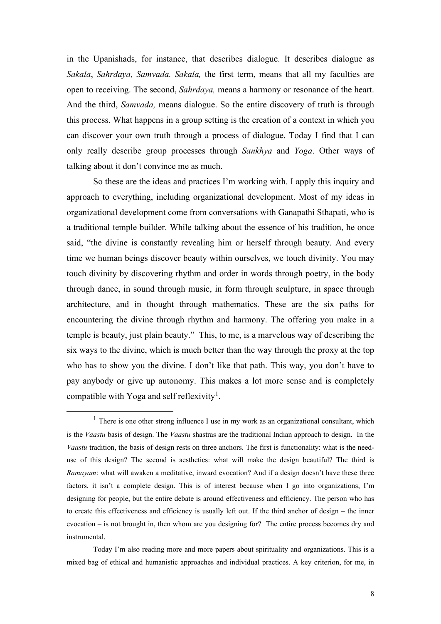in the Upanishads, for instance, that describes dialogue. It describes dialogue as *Sakala*, *Sahrdaya, Samvada. Sakala,* the first term, means that all my faculties are open to receiving. The second, *Sahrdaya,* means a harmony or resonance of the heart. And the third, *Samvada,* means dialogue. So the entire discovery of truth is through this process. What happens in a group setting is the creation of a context in which you can discover your own truth through a process of dialogue. Today I find that I can only really describe group processes through *Sankhya* and *Yoga*. Other ways of talking about it don't convince me as much.

So these are the ideas and practices I'm working with. I apply this inquiry and approach to everything, including organizational development. Most of my ideas in organizational development come from conversations with Ganapathi Sthapati, who is a traditional temple builder. While talking about the essence of his tradition, he once said, "the divine is constantly revealing him or herself through beauty. And every time we human beings discover beauty within ourselves, we touch divinity. You may touch divinity by discovering rhythm and order in words through poetry, in the body through dance, in sound through music, in form through sculpture, in space through architecture, and in thought through mathematics. These are the six paths for encountering the divine through rhythm and harmony. The offering you make in a temple is beauty, just plain beauty." This, to me, is a marvelous way of describing the six ways to the divine, which is much better than the way through the proxy at the top who has to show you the divine. I don't like that path. This way, you don't have to pay anybody or give up autonomy. This makes a lot more sense and is completely compatible with Yoga and self reflexivity<sup>[1](#page-7-0)</sup>.

<span id="page-7-0"></span> $<sup>1</sup>$  There is one other strong influence I use in my work as an organizational consultant, which</sup> is the *Vaastu* basis of design. The *Vaastu* shastras are the traditional Indian approach to design. In the *Vaastu* tradition, the basis of design rests on three anchors. The first is functionality: what is the needuse of this design? The second is aesthetics: what will make the design beautiful? The third is *Ramayam*: what will awaken a meditative, inward evocation? And if a design doesn't have these three factors, it isn't a complete design. This is of interest because when I go into organizations, I'm designing for people, but the entire debate is around effectiveness and efficiency. The person who has to create this effectiveness and efficiency is usually left out. If the third anchor of design – the inner evocation – is not brought in, then whom are you designing for? The entire process becomes dry and instrumental.

Today I'm also reading more and more papers about spirituality and organizations. This is a mixed bag of ethical and humanistic approaches and individual practices. A key criterion, for me, in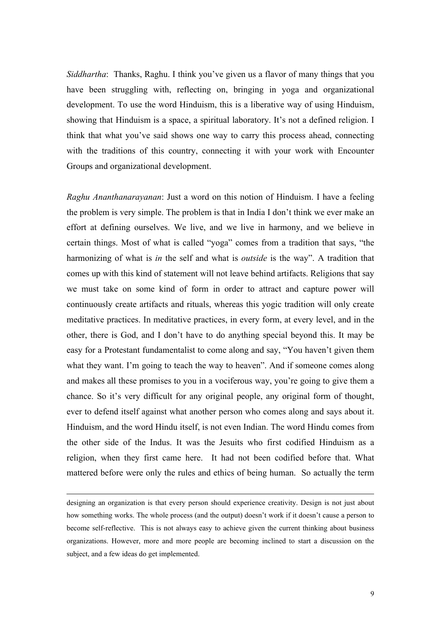*Siddhartha*: Thanks, Raghu. I think you've given us a flavor of many things that you have been struggling with, reflecting on, bringing in yoga and organizational development. To use the word Hinduism, this is a liberative way of using Hinduism, showing that Hinduism is a space, a spiritual laboratory. It's not a defined religion. I think that what you've said shows one way to carry this process ahead, connecting with the traditions of this country, connecting it with your work with Encounter Groups and organizational development.

*Raghu Ananthanarayanan*: Just a word on this notion of Hinduism. I have a feeling the problem is very simple. The problem is that in India I don't think we ever make an effort at defining ourselves. We live, and we live in harmony, and we believe in certain things. Most of what is called "yoga" comes from a tradition that says, "the harmonizing of what is *in* the self and what is *outside* is the way". A tradition that comes up with this kind of statement will not leave behind artifacts. Religions that say we must take on some kind of form in order to attract and capture power will continuously create artifacts and rituals, whereas this yogic tradition will only create meditative practices. In meditative practices, in every form, at every level, and in the other, there is God, and I don't have to do anything special beyond this. It may be easy for a Protestant fundamentalist to come along and say, "You haven't given them what they want. I'm going to teach the way to heaven". And if someone comes along and makes all these promises to you in a vociferous way, you're going to give them a chance. So it's very difficult for any original people, any original form of thought, ever to defend itself against what another person who comes along and says about it. Hinduism, and the word Hindu itself, is not even Indian. The word Hindu comes from the other side of the Indus. It was the Jesuits who first codified Hinduism as a religion, when they first came here. It had not been codified before that. What mattered before were only the rules and ethics of being human. So actually the term

designing an organization is that every person should experience creativity. Design is not just about how something works. The whole process (and the output) doesn't work if it doesn't cause a person to become self-reflective. This is not always easy to achieve given the current thinking about business organizations. However, more and more people are becoming inclined to start a discussion on the subject, and a few ideas do get implemented.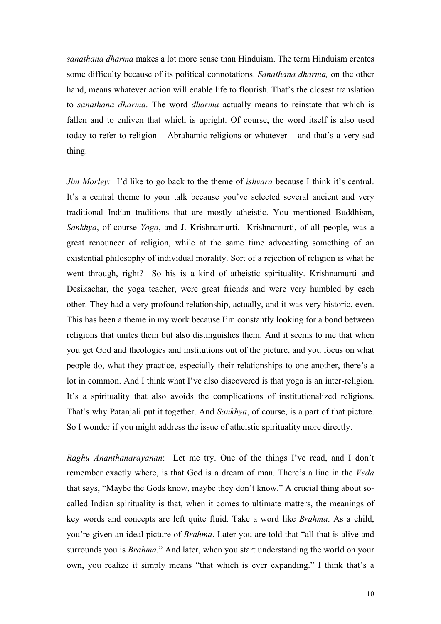*sanathana dharma* makes a lot more sense than Hinduism. The term Hinduism creates some difficulty because of its political connotations. *Sanathana dharma,* on the other hand, means whatever action will enable life to flourish. That's the closest translation to *sanathana dharma*. The word *dharma* actually means to reinstate that which is fallen and to enliven that which is upright. Of course, the word itself is also used today to refer to religion – Abrahamic religions or whatever – and that's a very sad thing.

*Jim Morley:* I'd like to go back to the theme of *ishvara* because I think it's central. It's a central theme to your talk because you've selected several ancient and very traditional Indian traditions that are mostly atheistic. You mentioned Buddhism, *Sankhya*, of course *Yoga*, and J. Krishnamurti. Krishnamurti, of all people, was a great renouncer of religion, while at the same time advocating something of an existential philosophy of individual morality. Sort of a rejection of religion is what he went through, right? So his is a kind of atheistic spirituality. Krishnamurti and Desikachar, the yoga teacher, were great friends and were very humbled by each other. They had a very profound relationship, actually, and it was very historic, even. This has been a theme in my work because I'm constantly looking for a bond between religions that unites them but also distinguishes them. And it seems to me that when you get God and theologies and institutions out of the picture, and you focus on what people do, what they practice, especially their relationships to one another, there's a lot in common. And I think what I've also discovered is that yoga is an inter-religion. It's a spirituality that also avoids the complications of institutionalized religions. That's why Patanjali put it together. And *Sankhya*, of course, is a part of that picture. So I wonder if you might address the issue of atheistic spirituality more directly.

*Raghu Ananthanarayanan*: Let me try. One of the things I've read, and I don't remember exactly where, is that God is a dream of man. There's a line in the *Veda* that says, "Maybe the Gods know, maybe they don't know." A crucial thing about socalled Indian spirituality is that, when it comes to ultimate matters, the meanings of key words and concepts are left quite fluid. Take a word like *Brahma*. As a child, you're given an ideal picture of *Brahma*. Later you are told that "all that is alive and surrounds you is *Brahma.*" And later, when you start understanding the world on your own, you realize it simply means "that which is ever expanding." I think that's a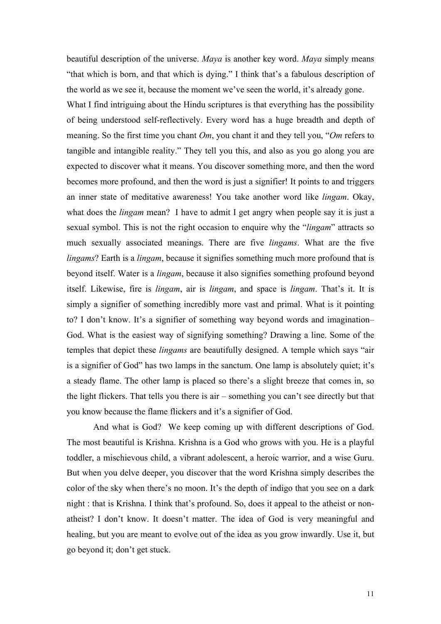beautiful description of the universe. *Maya* is another key word. *Maya* simply means "that which is born, and that which is dying." I think that's a fabulous description of the world as we see it, because the moment we've seen the world, it's already gone. What I find intriguing about the Hindu scriptures is that everything has the possibility of being understood self-reflectively. Every word has a huge breadth and depth of meaning. So the first time you chant *Om*, you chant it and they tell you, "*Om* refers to tangible and intangible reality." They tell you this, and also as you go along you are expected to discover what it means. You discover something more, and then the word becomes more profound, and then the word is just a signifier! It points to and triggers an inner state of meditative awareness! You take another word like *lingam*. Okay, what does the *lingam* mean? I have to admit I get angry when people say it is just a sexual symbol. This is not the right occasion to enquire why the "*lingam*" attracts so much sexually associated meanings. There are five *lingams*. What are the five *lingams*? Earth is a *lingam*, because it signifies something much more profound that is beyond itself. Water is a *lingam*, because it also signifies something profound beyond itself. Likewise, fire is *lingam*, air is *lingam*, and space is *lingam*. That's it. It is simply a signifier of something incredibly more vast and primal. What is it pointing to? I don't know. It's a signifier of something way beyond words and imagination– God. What is the easiest way of signifying something? Drawing a line. Some of the temples that depict these *lingams* are beautifully designed. A temple which says "air is a signifier of God" has two lamps in the sanctum. One lamp is absolutely quiet; it's a steady flame. The other lamp is placed so there's a slight breeze that comes in, so the light flickers. That tells you there is air – something you can't see directly but that you know because the flame flickers and it's a signifier of God.

And what is God? We keep coming up with different descriptions of God. The most beautiful is Krishna. Krishna is a God who grows with you. He is a playful toddler, a mischievous child, a vibrant adolescent, a heroic warrior, and a wise Guru. But when you delve deeper, you discover that the word Krishna simply describes the color of the sky when there's no moon. It's the depth of indigo that you see on a dark night : that is Krishna. I think that's profound. So, does it appeal to the atheist or nonatheist? I don't know. It doesn't matter. The idea of God is very meaningful and healing, but you are meant to evolve out of the idea as you grow inwardly. Use it, but go beyond it; don't get stuck.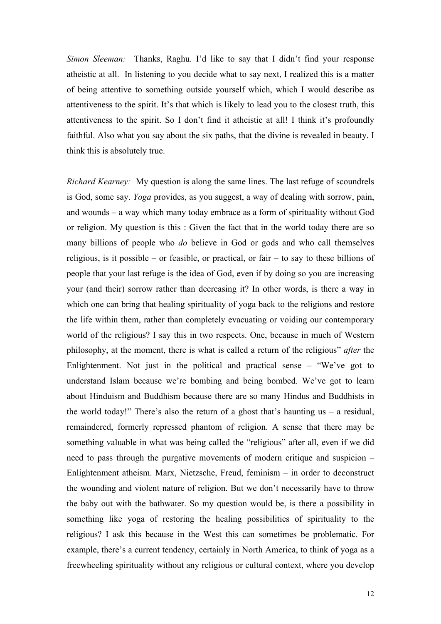*Simon Sleeman:* Thanks, Raghu. I'd like to say that I didn't find your response atheistic at all. In listening to you decide what to say next, I realized this is a matter of being attentive to something outside yourself which, which I would describe as attentiveness to the spirit. It's that which is likely to lead you to the closest truth, this attentiveness to the spirit. So I don't find it atheistic at all! I think it's profoundly faithful. Also what you say about the six paths, that the divine is revealed in beauty. I think this is absolutely true.

*Richard Kearney:* My question is along the same lines. The last refuge of scoundrels is God, some say. *Yoga* provides, as you suggest, a way of dealing with sorrow, pain, and wounds – a way which many today embrace as a form of spirituality without God or religion. My question is this : Given the fact that in the world today there are so many billions of people who *do* believe in God or gods and who call themselves religious, is it possible – or feasible, or practical, or fair – to say to these billions of people that your last refuge is the idea of God, even if by doing so you are increasing your (and their) sorrow rather than decreasing it? In other words, is there a way in which one can bring that healing spirituality of yoga back to the religions and restore the life within them, rather than completely evacuating or voiding our contemporary world of the religious? I say this in two respects. One, because in much of Western philosophy, at the moment, there is what is called a return of the religious" *after* the Enlightenment. Not just in the political and practical sense – "We've got to understand Islam because we're bombing and being bombed. We've got to learn about Hinduism and Buddhism because there are so many Hindus and Buddhists in the world today!" There's also the return of a ghost that's haunting us  $-$  a residual, remaindered, formerly repressed phantom of religion. A sense that there may be something valuable in what was being called the "religious" after all, even if we did need to pass through the purgative movements of modern critique and suspicion – Enlightenment atheism. Marx, Nietzsche, Freud, feminism – in order to deconstruct the wounding and violent nature of religion. But we don't necessarily have to throw the baby out with the bathwater. So my question would be, is there a possibility in something like yoga of restoring the healing possibilities of spirituality to the religious? I ask this because in the West this can sometimes be problematic. For example, there's a current tendency, certainly in North America, to think of yoga as a freewheeling spirituality without any religious or cultural context, where you develop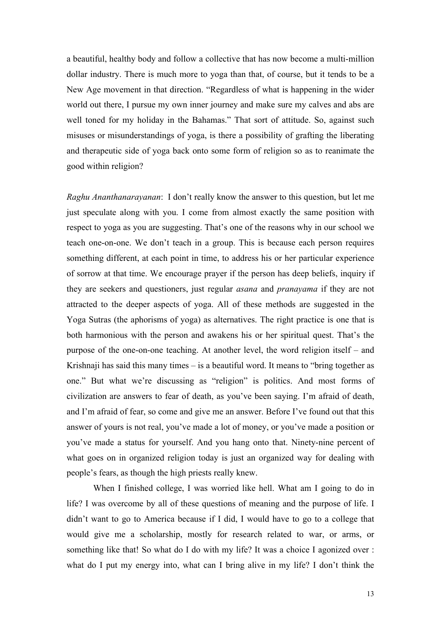a beautiful, healthy body and follow a collective that has now become a multi-million dollar industry. There is much more to yoga than that, of course, but it tends to be a New Age movement in that direction. "Regardless of what is happening in the wider world out there, I pursue my own inner journey and make sure my calves and abs are well toned for my holiday in the Bahamas." That sort of attitude. So, against such misuses or misunderstandings of yoga, is there a possibility of grafting the liberating and therapeutic side of yoga back onto some form of religion so as to reanimate the good within religion?

*Raghu Ananthanarayanan*: I don't really know the answer to this question, but let me just speculate along with you. I come from almost exactly the same position with respect to yoga as you are suggesting. That's one of the reasons why in our school we teach one-on-one. We don't teach in a group. This is because each person requires something different, at each point in time, to address his or her particular experience of sorrow at that time. We encourage prayer if the person has deep beliefs, inquiry if they are seekers and questioners, just regular *asana* and *pranayama* if they are not attracted to the deeper aspects of yoga. All of these methods are suggested in the Yoga Sutras (the aphorisms of yoga) as alternatives. The right practice is one that is both harmonious with the person and awakens his or her spiritual quest. That's the purpose of the one-on-one teaching. At another level, the word religion itself – and Krishnaji has said this many times – is a beautiful word. It means to "bring together as one." But what we're discussing as "religion" is politics. And most forms of civilization are answers to fear of death, as you've been saying. I'm afraid of death, and I'm afraid of fear, so come and give me an answer. Before I've found out that this answer of yours is not real, you've made a lot of money, or you've made a position or you've made a status for yourself. And you hang onto that. Ninety-nine percent of what goes on in organized religion today is just an organized way for dealing with people's fears, as though the high priests really knew.

When I finished college, I was worried like hell. What am I going to do in life? I was overcome by all of these questions of meaning and the purpose of life. I didn't want to go to America because if I did, I would have to go to a college that would give me a scholarship, mostly for research related to war, or arms, or something like that! So what do I do with my life? It was a choice I agonized over : what do I put my energy into, what can I bring alive in my life? I don't think the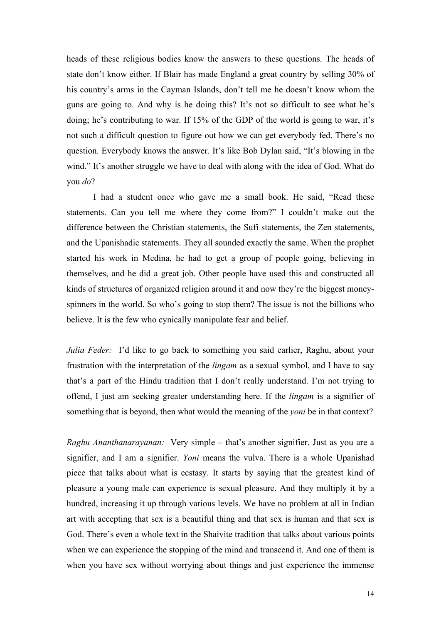heads of these religious bodies know the answers to these questions. The heads of state don't know either. If Blair has made England a great country by selling 30% of his country's arms in the Cayman Islands, don't tell me he doesn't know whom the guns are going to. And why is he doing this? It's not so difficult to see what he's doing; he's contributing to war. If 15% of the GDP of the world is going to war, it's not such a difficult question to figure out how we can get everybody fed. There's no question. Everybody knows the answer. It's like Bob Dylan said, "It's blowing in the wind." It's another struggle we have to deal with along with the idea of God. What do you *do*?

I had a student once who gave me a small book. He said, "Read these statements. Can you tell me where they come from?" I couldn't make out the difference between the Christian statements, the Sufi statements, the Zen statements, and the Upanishadic statements. They all sounded exactly the same. When the prophet started his work in Medina, he had to get a group of people going, believing in themselves, and he did a great job. Other people have used this and constructed all kinds of structures of organized religion around it and now they're the biggest moneyspinners in the world. So who's going to stop them? The issue is not the billions who believe. It is the few who cynically manipulate fear and belief.

*Julia Feder:* I'd like to go back to something you said earlier, Raghu, about your frustration with the interpretation of the *lingam* as a sexual symbol, and I have to say that's a part of the Hindu tradition that I don't really understand. I'm not trying to offend, I just am seeking greater understanding here. If the *lingam* is a signifier of something that is beyond, then what would the meaning of the *yoni* be in that context?

*Raghu Ananthanarayanan:* Very simple – that's another signifier. Just as you are a signifier, and I am a signifier. *Yoni* means the vulva. There is a whole Upanishad piece that talks about what is ecstasy. It starts by saying that the greatest kind of pleasure a young male can experience is sexual pleasure. And they multiply it by a hundred, increasing it up through various levels. We have no problem at all in Indian art with accepting that sex is a beautiful thing and that sex is human and that sex is God. There's even a whole text in the Shaivite tradition that talks about various points when we can experience the stopping of the mind and transcend it. And one of them is when you have sex without worrying about things and just experience the immense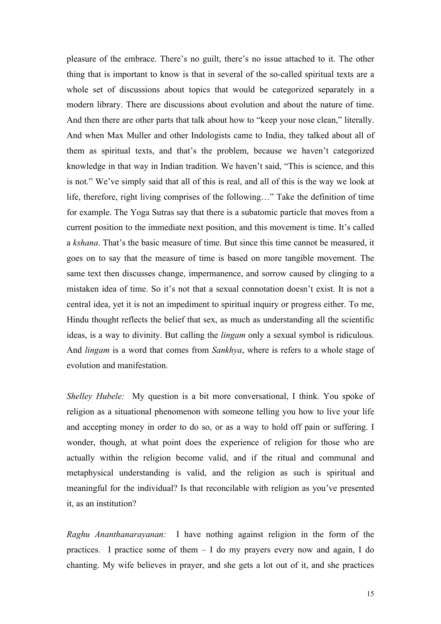pleasure of the embrace. There's no guilt, there's no issue attached to it. The other thing that is important to know is that in several of the so-called spiritual texts are a whole set of discussions about topics that would be categorized separately in a modern library. There are discussions about evolution and about the nature of time. And then there are other parts that talk about how to "keep your nose clean," literally. And when Max Muller and other Indologists came to India, they talked about all of them as spiritual texts, and that's the problem, because we haven't categorized knowledge in that way in Indian tradition. We haven't said, "This is science, and this is not." We've simply said that all of this is real, and all of this is the way we look at life, therefore, right living comprises of the following…" Take the definition of time for example. The Yoga Sutras say that there is a subatomic particle that moves from a current position to the immediate next position, and this movement is time. It's called a *kshana*. That's the basic measure of time. But since this time cannot be measured, it goes on to say that the measure of time is based on more tangible movement. The same text then discusses change, impermanence, and sorrow caused by clinging to a mistaken idea of time. So it's not that a sexual connotation doesn't exist. It is not a central idea, yet it is not an impediment to spiritual inquiry or progress either. To me, Hindu thought reflects the belief that sex, as much as understanding all the scientific ideas, is a way to divinity. But calling the *lingam* only a sexual symbol is ridiculous. And *lingam* is a word that comes from *Sankhya*, where is refers to a whole stage of evolution and manifestation.

*Shelley Hubele:* My question is a bit more conversational, I think. You spoke of religion as a situational phenomenon with someone telling you how to live your life and accepting money in order to do so, or as a way to hold off pain or suffering. I wonder, though, at what point does the experience of religion for those who are actually within the religion become valid, and if the ritual and communal and metaphysical understanding is valid, and the religion as such is spiritual and meaningful for the individual? Is that reconcilable with religion as you've presented it, as an institution?

*Raghu Ananthanarayanan:* I have nothing against religion in the form of the practices. I practice some of them – I do my prayers every now and again, I do chanting. My wife believes in prayer, and she gets a lot out of it, and she practices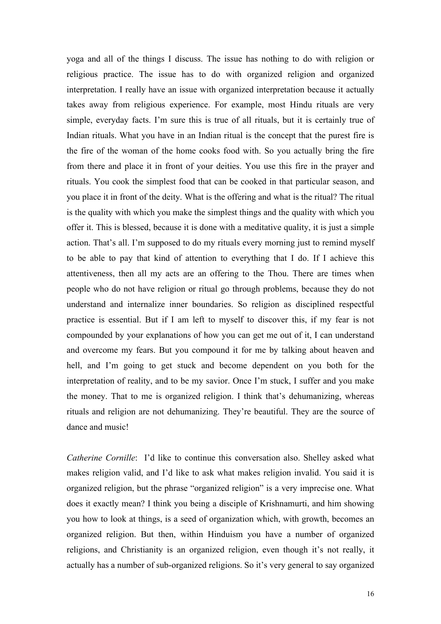yoga and all of the things I discuss. The issue has nothing to do with religion or religious practice. The issue has to do with organized religion and organized interpretation. I really have an issue with organized interpretation because it actually takes away from religious experience. For example, most Hindu rituals are very simple, everyday facts. I'm sure this is true of all rituals, but it is certainly true of Indian rituals. What you have in an Indian ritual is the concept that the purest fire is the fire of the woman of the home cooks food with. So you actually bring the fire from there and place it in front of your deities. You use this fire in the prayer and rituals. You cook the simplest food that can be cooked in that particular season, and you place it in front of the deity. What is the offering and what is the ritual? The ritual is the quality with which you make the simplest things and the quality with which you offer it. This is blessed, because it is done with a meditative quality, it is just a simple action. That's all. I'm supposed to do my rituals every morning just to remind myself to be able to pay that kind of attention to everything that I do. If I achieve this attentiveness, then all my acts are an offering to the Thou. There are times when people who do not have religion or ritual go through problems, because they do not understand and internalize inner boundaries. So religion as disciplined respectful practice is essential. But if I am left to myself to discover this, if my fear is not compounded by your explanations of how you can get me out of it, I can understand and overcome my fears. But you compound it for me by talking about heaven and hell, and I'm going to get stuck and become dependent on you both for the interpretation of reality, and to be my savior. Once I'm stuck, I suffer and you make the money. That to me is organized religion. I think that's dehumanizing, whereas rituals and religion are not dehumanizing. They're beautiful. They are the source of dance and music!

*Catherine Cornille*: I'd like to continue this conversation also. Shelley asked what makes religion valid, and I'd like to ask what makes religion invalid. You said it is organized religion, but the phrase "organized religion" is a very imprecise one. What does it exactly mean? I think you being a disciple of Krishnamurti, and him showing you how to look at things, is a seed of organization which, with growth, becomes an organized religion. But then, within Hinduism you have a number of organized religions, and Christianity is an organized religion, even though it's not really, it actually has a number of sub-organized religions. So it's very general to say organized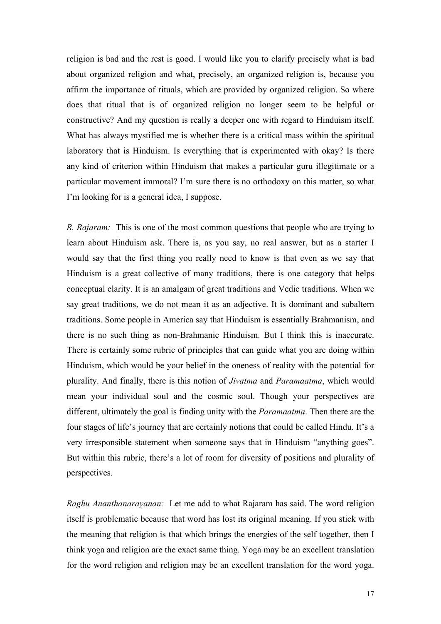religion is bad and the rest is good. I would like you to clarify precisely what is bad about organized religion and what, precisely, an organized religion is, because you affirm the importance of rituals, which are provided by organized religion. So where does that ritual that is of organized religion no longer seem to be helpful or constructive? And my question is really a deeper one with regard to Hinduism itself. What has always mystified me is whether there is a critical mass within the spiritual laboratory that is Hinduism. Is everything that is experimented with okay? Is there any kind of criterion within Hinduism that makes a particular guru illegitimate or a particular movement immoral? I'm sure there is no orthodoxy on this matter, so what I'm looking for is a general idea, I suppose.

*R. Rajaram:* This is one of the most common questions that people who are trying to learn about Hinduism ask. There is, as you say, no real answer, but as a starter I would say that the first thing you really need to know is that even as we say that Hinduism is a great collective of many traditions, there is one category that helps conceptual clarity. It is an amalgam of great traditions and Vedic traditions. When we say great traditions, we do not mean it as an adjective. It is dominant and subaltern traditions. Some people in America say that Hinduism is essentially Brahmanism, and there is no such thing as non-Brahmanic Hinduism. But I think this is inaccurate. There is certainly some rubric of principles that can guide what you are doing within Hinduism, which would be your belief in the oneness of reality with the potential for plurality. And finally, there is this notion of *Jivatma* and *Paramaatma*, which would mean your individual soul and the cosmic soul. Though your perspectives are different, ultimately the goal is finding unity with the *Paramaatma*. Then there are the four stages of life's journey that are certainly notions that could be called Hindu. It's a very irresponsible statement when someone says that in Hinduism "anything goes". But within this rubric, there's a lot of room for diversity of positions and plurality of perspectives.

*Raghu Ananthanarayanan:* Let me add to what Rajaram has said. The word religion itself is problematic because that word has lost its original meaning. If you stick with the meaning that religion is that which brings the energies of the self together, then I think yoga and religion are the exact same thing. Yoga may be an excellent translation for the word religion and religion may be an excellent translation for the word yoga.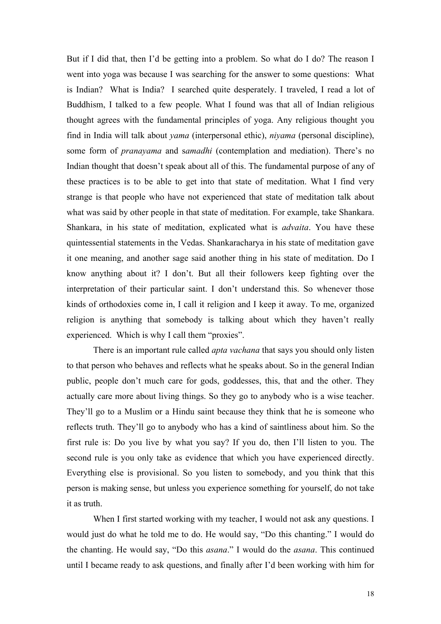But if I did that, then I'd be getting into a problem. So what do I do? The reason I went into yoga was because I was searching for the answer to some questions: What is Indian? What is India? I searched quite desperately. I traveled, I read a lot of Buddhism, I talked to a few people. What I found was that all of Indian religious thought agrees with the fundamental principles of yoga. Any religious thought you find in India will talk about *yama* (interpersonal ethic), *niyama* (personal discipline), some form of *pranayama* and s*amadhi* (contemplation and mediation). There's no Indian thought that doesn't speak about all of this. The fundamental purpose of any of these practices is to be able to get into that state of meditation. What I find very strange is that people who have not experienced that state of meditation talk about what was said by other people in that state of meditation. For example, take Shankara. Shankara, in his state of meditation, explicated what is *advaita*. You have these quintessential statements in the Vedas. Shankaracharya in his state of meditation gave it one meaning, and another sage said another thing in his state of meditation. Do I know anything about it? I don't. But all their followers keep fighting over the interpretation of their particular saint. I don't understand this. So whenever those kinds of orthodoxies come in, I call it religion and I keep it away. To me, organized religion is anything that somebody is talking about which they haven't really experienced. Which is why I call them "proxies".

There is an important rule called *apta vachana* that says you should only listen to that person who behaves and reflects what he speaks about. So in the general Indian public, people don't much care for gods, goddesses, this, that and the other. They actually care more about living things. So they go to anybody who is a wise teacher. They'll go to a Muslim or a Hindu saint because they think that he is someone who reflects truth. They'll go to anybody who has a kind of saintliness about him. So the first rule is: Do you live by what you say? If you do, then I'll listen to you. The second rule is you only take as evidence that which you have experienced directly. Everything else is provisional. So you listen to somebody, and you think that this person is making sense, but unless you experience something for yourself, do not take it as truth.

When I first started working with my teacher, I would not ask any questions. I would just do what he told me to do. He would say, "Do this chanting." I would do the chanting. He would say, "Do this *asana*." I would do the *asana*. This continued until I became ready to ask questions, and finally after I'd been working with him for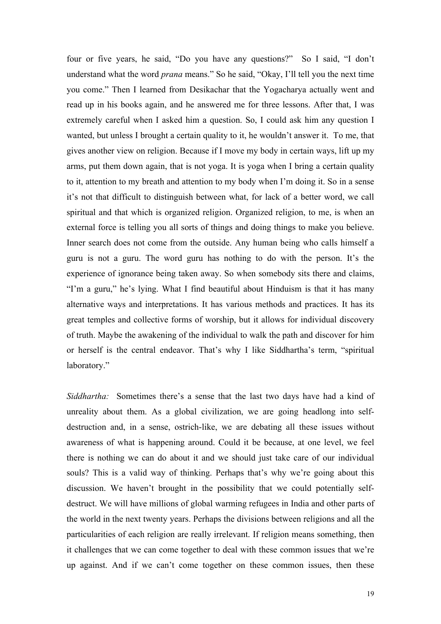four or five years, he said, "Do you have any questions?" So I said, "I don't understand what the word *prana* means." So he said, "Okay, I'll tell you the next time you come." Then I learned from Desikachar that the Yogacharya actually went and read up in his books again, and he answered me for three lessons. After that, I was extremely careful when I asked him a question. So, I could ask him any question I wanted, but unless I brought a certain quality to it, he wouldn't answer it. To me, that gives another view on religion. Because if I move my body in certain ways, lift up my arms, put them down again, that is not yoga. It is yoga when I bring a certain quality to it, attention to my breath and attention to my body when I'm doing it. So in a sense it's not that difficult to distinguish between what, for lack of a better word, we call spiritual and that which is organized religion. Organized religion, to me, is when an external force is telling you all sorts of things and doing things to make you believe. Inner search does not come from the outside. Any human being who calls himself a guru is not a guru. The word guru has nothing to do with the person. It's the experience of ignorance being taken away. So when somebody sits there and claims, "I'm a guru," he's lying. What I find beautiful about Hinduism is that it has many alternative ways and interpretations. It has various methods and practices. It has its great temples and collective forms of worship, but it allows for individual discovery of truth. Maybe the awakening of the individual to walk the path and discover for him or herself is the central endeavor. That's why I like Siddhartha's term, "spiritual laboratory."

*Siddhartha:* Sometimes there's a sense that the last two days have had a kind of unreality about them. As a global civilization, we are going headlong into selfdestruction and, in a sense, ostrich-like, we are debating all these issues without awareness of what is happening around. Could it be because, at one level, we feel there is nothing we can do about it and we should just take care of our individual souls? This is a valid way of thinking. Perhaps that's why we're going about this discussion. We haven't brought in the possibility that we could potentially selfdestruct. We will have millions of global warming refugees in India and other parts of the world in the next twenty years. Perhaps the divisions between religions and all the particularities of each religion are really irrelevant. If religion means something, then it challenges that we can come together to deal with these common issues that we're up against. And if we can't come together on these common issues, then these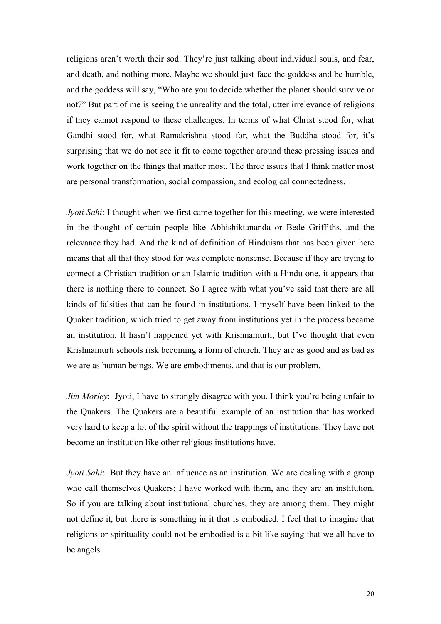religions aren't worth their sod. They're just talking about individual souls, and fear, and death, and nothing more. Maybe we should just face the goddess and be humble, and the goddess will say, "Who are you to decide whether the planet should survive or not?" But part of me is seeing the unreality and the total, utter irrelevance of religions if they cannot respond to these challenges. In terms of what Christ stood for, what Gandhi stood for, what Ramakrishna stood for, what the Buddha stood for, it's surprising that we do not see it fit to come together around these pressing issues and work together on the things that matter most. The three issues that I think matter most are personal transformation, social compassion, and ecological connectedness.

*Jyoti Sahi*: I thought when we first came together for this meeting, we were interested in the thought of certain people like Abhishiktananda or Bede Griffiths, and the relevance they had. And the kind of definition of Hinduism that has been given here means that all that they stood for was complete nonsense. Because if they are trying to connect a Christian tradition or an Islamic tradition with a Hindu one, it appears that there is nothing there to connect. So I agree with what you've said that there are all kinds of falsities that can be found in institutions. I myself have been linked to the Quaker tradition, which tried to get away from institutions yet in the process became an institution. It hasn't happened yet with Krishnamurti, but I've thought that even Krishnamurti schools risk becoming a form of church. They are as good and as bad as we are as human beings. We are embodiments, and that is our problem.

*Jim Morley*: Jyoti, I have to strongly disagree with you. I think you're being unfair to the Quakers. The Quakers are a beautiful example of an institution that has worked very hard to keep a lot of the spirit without the trappings of institutions. They have not become an institution like other religious institutions have.

*Jyoti Sahi*: But they have an influence as an institution. We are dealing with a group who call themselves Quakers; I have worked with them, and they are an institution. So if you are talking about institutional churches, they are among them. They might not define it, but there is something in it that is embodied. I feel that to imagine that religions or spirituality could not be embodied is a bit like saying that we all have to be angels.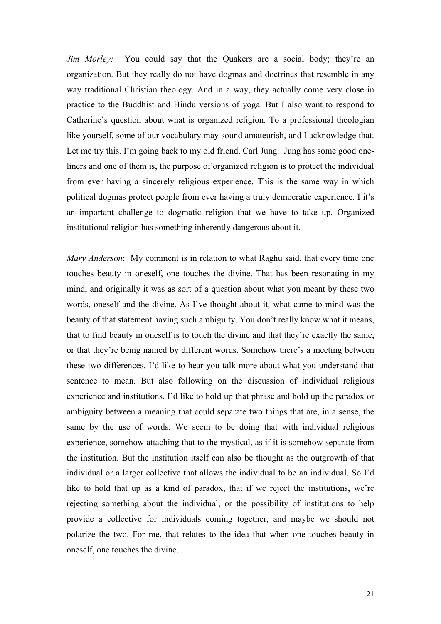*Jim Morley:* You could say that the Quakers are a social body; they're an organization. But they really do not have dogmas and doctrines that resemble in any way traditional Christian theology. And in a way, they actually come very close in practice to the Buddhist and Hindu versions of yoga. But I also want to respond to Catherine's question about what is organized religion. To a professional theologian like yourself, some of our vocabulary may sound amateurish, and I acknowledge that. Let me try this. I'm going back to my old friend, Carl Jung. Jung has some good oneliners and one of them is, the purpose of organized religion is to protect the individual from ever having a sincerely religious experience. This is the same way in which political dogmas protect people from ever having a truly democratic experience. I it's an important challenge to dogmatic religion that we have to take up. Organized institutional religion has something inherently dangerous about it.

*Mary Anderson*: My comment is in relation to what Raghu said, that every time one touches beauty in oneself, one touches the divine. That has been resonating in my mind, and originally it was as sort of a question about what you meant by these two words, oneself and the divine. As I've thought about it, what came to mind was the beauty of that statement having such ambiguity. You don't really know what it means, that to find beauty in oneself is to touch the divine and that they're exactly the same, or that they're being named by different words. Somehow there's a meeting between these two differences. I'd like to hear you talk more about what you understand that sentence to mean. But also following on the discussion of individual religious experience and institutions, I'd like to hold up that phrase and hold up the paradox or ambiguity between a meaning that could separate two things that are, in a sense, the same by the use of words. We seem to be doing that with individual religious experience, somehow attaching that to the mystical, as if it is somehow separate from the institution. But the institution itself can also be thought as the outgrowth of that individual or a larger collective that allows the individual to be an individual. So I'd like to hold that up as a kind of paradox, that if we reject the institutions, we're rejecting something about the individual, or the possibility of institutions to help provide a collective for individuals coming together, and maybe we should not polarize the two. For me, that relates to the idea that when one touches beauty in oneself, one touches the divine.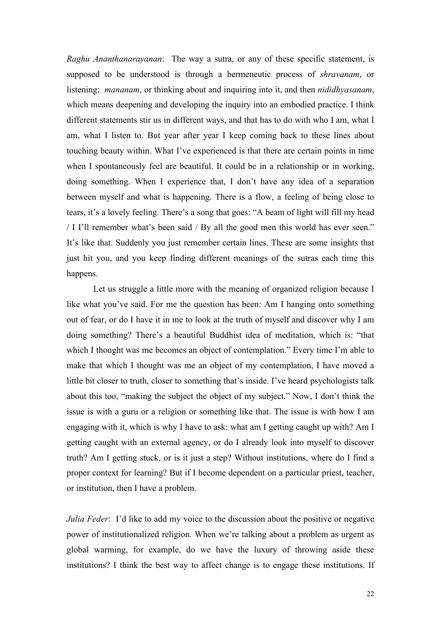*Raghu Ananthanarayanan*: The way a sutra, or any of these specific statement, is supposed to be understood is through a hermeneutic process of *shravanam*, or listening; *mananam*, or thinking about and inquiring into it, and then *nididhyasanam*, which means deepening and developing the inquiry into an embodied practice. I think different statements stir us in different ways, and that has to do with who I am, what I am, what I listen to. But year after year I keep coming back to these lines about touching beauty within. What I've experienced is that there are certain points in time when I spontaneously feel are beautiful. It could be in a relationship or in working, doing something. When I experience that, I don't have any idea of a separation between myself and what is happening. There is a flow, a feeling of being close to tears, it's a lovely feeling. There's a song that goes: "A beam of light will fill my head / I I'll remember what's been said / By all the good men this world has ever seen." It's like that. Suddenly you just remember certain lines. These are some insights that just hit you, and you keep finding different meanings of the sutras each time this happens.

Let us struggle a little more with the meaning of organized religion because I like what you've said. For me the question has been: Am I hanging onto something out of fear, or do I have it in me to look at the truth of myself and discover why I am doing something? There's a beautiful Buddhist idea of meditation, which is: "that which I thought was me becomes an object of contemplation." Every time I'm able to make that which I thought was me an object of my contemplation, I have moved a little bit closer to truth, closer to something that's inside. I've heard psychologists talk about this too, "making the subject the object of my subject." Now, I don't think the issue is with a guru or a religion or something like that. The issue is with how I am engaging with it, which is why I have to ask: what am I getting caught up with? Am I getting caught with an external agency, or do I already look into myself to discover truth? Am I getting stuck, or is it just a step? Without institutions, where do I find a proper context for learning? But if I become dependent on a particular priest, teacher, or institution, then I have a problem.

*Julia Feder*: I'd like to add my voice to the discussion about the positive or negative power of institutionalized religion. When we're talking about a problem as urgent as global warming, for example, do we have the luxury of throwing aside these institutions? I think the best way to affect change is to engage these institutions. If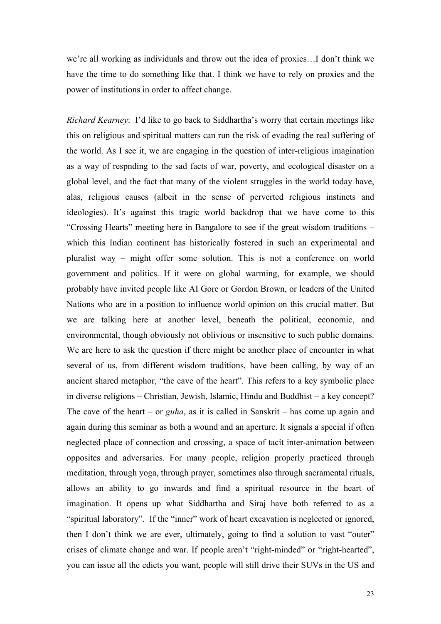we're all working as individuals and throw out the idea of proxies…I don't think we have the time to do something like that. I think we have to rely on proxies and the power of institutions in order to affect change.

*Richard Kearney*: I'd like to go back to Siddhartha's worry that certain meetings like this on religious and spiritual matters can run the risk of evading the real suffering of the world. As I see it, we are engaging in the question of inter-religious imagination as a way of respnding to the sad facts of war, poverty, and ecological disaster on a global level, and the fact that many of the violent struggles in the world today have, alas, religious causes (albeit in the sense of perverted religious instincts and ideologies). It's against this tragic world backdrop that we have come to this "Crossing Hearts" meeting here in Bangalore to see if the great wisdom traditions – which this Indian continent has historically fostered in such an experimental and pluralist way – might offer some solution. This is not a conference on world government and politics. If it were on global warming, for example, we should probably have invited people like AI Gore or Gordon Brown, or leaders of the United Nations who are in a position to influence world opinion on this crucial matter. But we are talking here at another level, beneath the political, economic, and environmental, though obviously not oblivious or insensitive to such public domains. We are here to ask the question if there might be another place of encounter in what several of us, from different wisdom traditions, have been calling, by way of an ancient shared metaphor, "the cave of the heart". This refers to a key symbolic place in diverse religions – Christian, Jewish, Islamic, Hindu and Buddhist – a key concept? The cave of the heart – or *guha*, as it is called in Sanskrit – has come up again and again during this seminar as both a wound and an aperture. It signals a special if often neglected place of connection and crossing, a space of tacit inter-animation between opposites and adversaries. For many people, religion properly practiced through meditation, through yoga, through prayer, sometimes also through sacramental rituals, allows an ability to go inwards and find a spiritual resource in the heart of imagination. It opens up what Siddhartha and Siraj have both referred to as a "spiritual laboratory". If the "inner" work of heart excavation is neglected or ignored, then I don't think we are ever, ultimately, going to find a solution to vast "outer" crises of climate change and war. If people aren't "right-minded" or "right-hearted", you can issue all the edicts you want, people will still drive their SUVs in the US and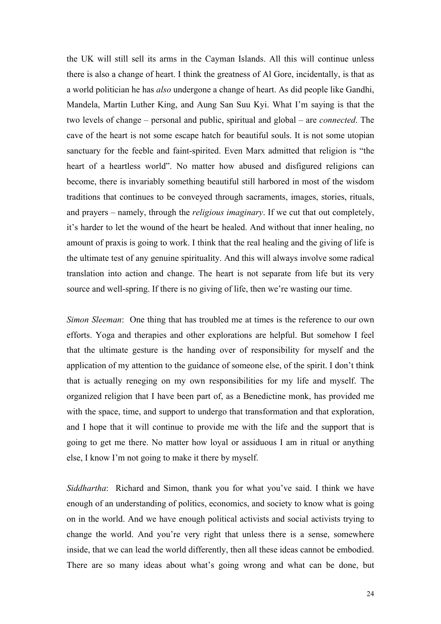the UK will still sell its arms in the Cayman Islands. All this will continue unless there is also a change of heart. I think the greatness of Al Gore, incidentally, is that as a world politician he has *also* undergone a change of heart. As did people like Gandhi, Mandela, Martin Luther King, and Aung San Suu Kyi. What I'm saying is that the two levels of change – personal and public, spiritual and global – are *connected*. The cave of the heart is not some escape hatch for beautiful souls. It is not some utopian sanctuary for the feeble and faint-spirited. Even Marx admitted that religion is "the heart of a heartless world". No matter how abused and disfigured religions can become, there is invariably something beautiful still harbored in most of the wisdom traditions that continues to be conveyed through sacraments, images, stories, rituals, and prayers – namely, through the *religious imaginary*. If we cut that out completely, it's harder to let the wound of the heart be healed. And without that inner healing, no amount of praxis is going to work. I think that the real healing and the giving of life is the ultimate test of any genuine spirituality. And this will always involve some radical translation into action and change. The heart is not separate from life but its very source and well-spring. If there is no giving of life, then we're wasting our time.

*Simon Sleeman*: One thing that has troubled me at times is the reference to our own efforts. Yoga and therapies and other explorations are helpful. But somehow I feel that the ultimate gesture is the handing over of responsibility for myself and the application of my attention to the guidance of someone else, of the spirit. I don't think that is actually reneging on my own responsibilities for my life and myself. The organized religion that I have been part of, as a Benedictine monk, has provided me with the space, time, and support to undergo that transformation and that exploration, and I hope that it will continue to provide me with the life and the support that is going to get me there. No matter how loyal or assiduous I am in ritual or anything else, I know I'm not going to make it there by myself.

*Siddhartha*: Richard and Simon, thank you for what you've said. I think we have enough of an understanding of politics, economics, and society to know what is going on in the world. And we have enough political activists and social activists trying to change the world. And you're very right that unless there is a sense, somewhere inside, that we can lead the world differently, then all these ideas cannot be embodied. There are so many ideas about what's going wrong and what can be done, but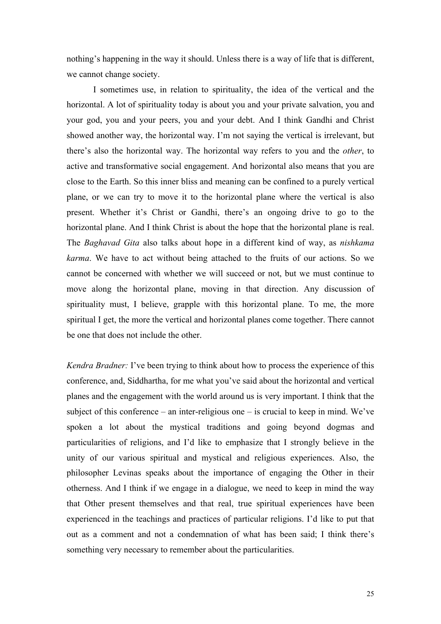nothing's happening in the way it should. Unless there is a way of life that is different, we cannot change society.

I sometimes use, in relation to spirituality, the idea of the vertical and the horizontal. A lot of spirituality today is about you and your private salvation, you and your god, you and your peers, you and your debt. And I think Gandhi and Christ showed another way, the horizontal way. I'm not saying the vertical is irrelevant, but there's also the horizontal way. The horizontal way refers to you and the *other*, to active and transformative social engagement. And horizontal also means that you are close to the Earth. So this inner bliss and meaning can be confined to a purely vertical plane, or we can try to move it to the horizontal plane where the vertical is also present. Whether it's Christ or Gandhi, there's an ongoing drive to go to the horizontal plane. And I think Christ is about the hope that the horizontal plane is real. The *Baghavad Gita* also talks about hope in a different kind of way, as *nishkama karma*. We have to act without being attached to the fruits of our actions. So we cannot be concerned with whether we will succeed or not, but we must continue to move along the horizontal plane, moving in that direction. Any discussion of spirituality must, I believe, grapple with this horizontal plane. To me, the more spiritual I get, the more the vertical and horizontal planes come together. There cannot be one that does not include the other.

*Kendra Bradner:* I've been trying to think about how to process the experience of this conference, and, Siddhartha, for me what you've said about the horizontal and vertical planes and the engagement with the world around us is very important. I think that the subject of this conference – an inter-religious one – is crucial to keep in mind. We've spoken a lot about the mystical traditions and going beyond dogmas and particularities of religions, and I'd like to emphasize that I strongly believe in the unity of our various spiritual and mystical and religious experiences. Also, the philosopher Levinas speaks about the importance of engaging the Other in their otherness. And I think if we engage in a dialogue, we need to keep in mind the way that Other present themselves and that real, true spiritual experiences have been experienced in the teachings and practices of particular religions. I'd like to put that out as a comment and not a condemnation of what has been said; I think there's something very necessary to remember about the particularities.